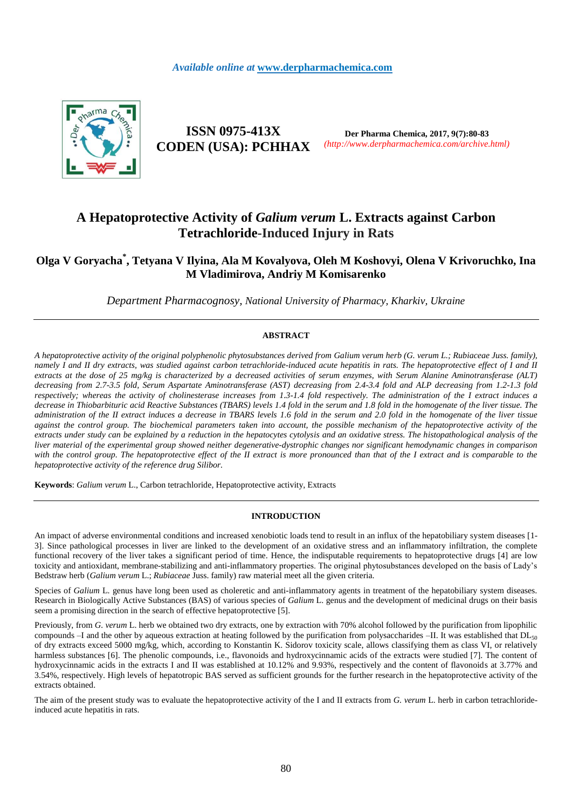

**ISSN 0975-413X CODEN (USA): PCHHAX**

**Der Pharma Chemica, 2017, 9(7):80-83** *(http://www.derpharmachemica.com/archive.html)*

# **A Hepatoprotective Activity of** *Galium verum* **L. Extracts against Carbon Tetrachloride-Induced Injury in Rats**

## **Olga V Goryacha\* , Tetyana V Ilyina, Ala M Kovalyova, Oleh M Koshovyi, Olena V Krivoruchko, Ina M Vladimirova, Andriy M Komisarenko**

*Department Pharmacognosy, National University of Pharmacy, Kharkiv, Ukraine*

## **ABSTRACT**

*A hepatoprotective activity of the original polyphenolic phytosubstances derived from Galium verum herb (G. verum L.; Rubiaceae Juss. family), namely I and II dry extracts, was studied against carbon tetrachloride-induced acute hepatitis in rats. The hepatoprotective effect of I and II extracts at the dose of 25 mg/kg is characterized by a decreased activities of serum enzymes, with Serum Alanine Aminotransferase (ALT) decreasing from 2.7-3.5 fold, Serum Aspartate Aminotransferase (AST) decreasing from 2.4-3.4 fold and ALP decreasing from 1.2-1.3 fold respectively; whereas the activity of cholinesterase increases from 1.3-1.4 fold respectively. The administration of the I extract induces a*  decrease in Thiobarbituric acid Reactive Substances (TBARS) levels 1.4 fold in the serum and 1.8 fold in the homogenate of the liver tissue. The *administration of the II extract induces a decrease in TBARS levels 1.6 fold in the serum and 2.0 fold in the homogenate of the liver tissue*  against the control group. The biochemical parameters taken into account, the possible mechanism of the hepatoprotective activity of the *extracts under study can be explained by a reduction in the hepatocytes cytolysis and an oxidative stress. The histopathological analysis of the liver material of the experimental group showed neither degenerative-dystrophic changes nor significant hemodynamic changes in comparison*  with the control group. The hepatoprotective effect of the II extract is more pronounced than that of the I extract and is comparable to the *hepatoprotective activity of the reference drug Silibor.*

**Keywords**: *Galium verum* L., Carbon tetrachloride, Hepatoprotective activity, Extracts

#### **INTRODUCTION**

An impact of adverse environmental conditions and increased xenobiotic loads tend to result in an influx of the hepatobiliary system diseases [1- 3]. Since pathological processes in liver are linked to the development of an oxidative stress and an inflammatory infiltration, the complete functional recovery of the liver takes a significant period of time. Hence, the indisputable requirements to hepatoprotective drugs [4] are low toxicity and antioxidant, membrane-stabilizing and anti-inflammatory properties. The original phytosubstances developed on the basis of Lady's Bedstraw herb (*Galium verum* L.; *Rubiaceae* Juss. family) raw material meet all the given criteria.

Species of *Galium* L. genus have long been used as choleretic and anti-inflammatory agents in treatment of the hepatobiliary system diseases. Research in Biologically Active Substances (BAS) of various species of *Galium* L. genus and the development of medicinal drugs on their basis seem a promising direction in the search of effective hepatoprotective [5].

Previously, from *G. verum* L. herb we obtained two dry extracts, one by extraction with 70% alcohol followed by the purification from lipophilic compounds  $-$ I and the other by aqueous extraction at heating followed by the purification from polysaccharides  $-$ II. It was established that DL $_{50}$ of dry extracts exceed 5000 mg/kg, which, according to Konstantin K. Sidorov toxicity scale, allows classifying them as class VI, or relatively harmless substances [6]. The phenolic compounds, i.e., flavonoids and hydroxycinnamic acids of the extracts were studied [7]. The content of hydroxycinnamic acids in the extracts I and II was established at 10.12% and 9.93%, respectively and the content of flavonoids at 3.77% and 3.54%, respectively. High levels of hepatotropic BAS served as sufficient grounds for the further research in the hepatoprotective activity of the extracts obtained.

The aim of the present study was to evaluate the hepatoprotective activity of the I and II extracts from *G. verum* L. herb in carbon tetrachlorideinduced acute hepatitis in rats.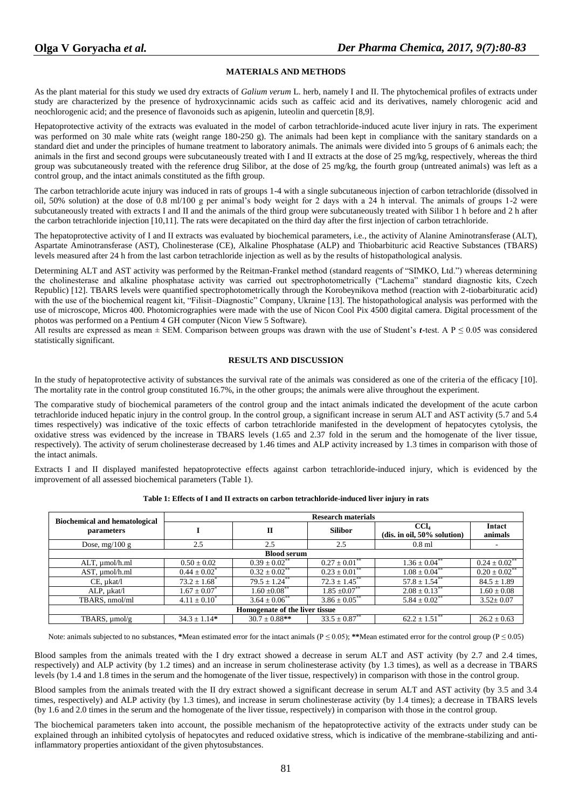## **MATERIALS AND METHODS**

As the plant material for this study we used dry extracts of *Galium verum* L. herb, namely I and II. The phytochemical profiles of extracts under study are characterized by the presence of hydroxycinnamic acids such as caffeic acid and its derivatives, namely chlorogenic acid and neochlorogenic acid; and the presence of flavonoids such as apigenin, luteolin and quercetin [8,9].

Hepatoprotective activity of the extracts was evaluated in the model of carbon tetrachloride-induced acute liver injury in rats. The experiment was performed on 30 male white rats (weight range 180-250 g). The animals had been kept in compliance with the sanitary standards on a standard diet and under the principles of humane treatment to laboratory animals. The animals were divided into 5 groups of 6 animals each; the animals in the first and second groups were subcutaneously treated with I and II extracts at the dose of 25 mg/kg, respectively, whereas the third group was subcutaneously treated with the reference drug Silibor, at the dose of 25 mg/kg, the fourth group (untreated animals) was left as a control group, and the intact animals constituted as the fifth group.

The carbon tetrachloride acute injury was induced in rats of groups 1-4 with a single subcutaneous injection of carbon tetrachloride (dissolved in oil, 50% solution) at the dose of 0.8 ml/100 g per animal's body weight for 2 days with a 24 h interval. The animals of groups 1-2 were subcutaneously treated with extracts I and II and the animals of the third group were subcutaneously treated with Silibor 1 h before and 2 h after the carbon tetrachloride injection [10,11]. The rats were decapitated on the third day after the first injection of carbon tetrachloride.

The hepatoprotective activity of I and II extracts was evaluated by biochemical parameters, i.e., the activity of Alanine Aminotransferase (ALT), Aspartate Aminotransferase (AST), Cholinesterase (CE), Alkaline Phosphatase (ALP) and Thiobarbituric acid Reactive Substances (TBARS) levels measured after 24 h from the last carbon tetrachloride injection as well as by the results of histopathological analysis.

Determining ALT and AST activity was performed by the Reitman-Frankel method (standard reagents of "SIMKO, Ltd.") whereas determining the cholinesterase and alkaline phosphatase activity was carried out spectrophotometrically ("Lachema" standard diagnostic kits, Czech Republic) [12]. TBARS levels were quantified spectrophotometrically through the Korobeynikova method (reaction with 2-tiobarbituratic acid) with the use of the biochemical reagent kit, "Filisit–Diagnostic" Company, Ukraine [13]. The histopathological analysis was performed with the use of microscope, Micros 400. Photomicrographies were made with the use of Nicon Cool Pix 4500 digital camera. Digital processment of the photos was performed on a Pentium 4 GH computer (Nicon View 5 Software).

All results are expressed as mean  $\pm$  SEM. Comparison between groups was drawn with the use of Student's *t*-test. A  $P \le 0.05$  was considered statistically significant.

## **RESULTS AND DISCUSSION**

In the study of hepatoprotective activity of substances the survival rate of the animals was considered as one of the criteria of the efficacy [10]. The mortality rate in the control group constituted 16.7%, in the other groups; the animals were alive throughout the experiment.

The comparative study of biochemical parameters of the control group and the intact animals indicated the development of the acute carbon tetrachloride induced hepatic injury in the control group. In the control group, a significant increase in serum ALT and AST activity (5.7 and 5.4 times respectively) was indicative of the toxic effects of carbon tetrachloride manifested in the development of hepatocytes cytolysis, the oxidative stress was evidenced by the increase in TBARS levels (1.65 and 2.37 fold in the serum and the homogenate of the liver tissue, respectively). The activity of serum cholinesterase decreased by 1.46 times and ALP activity increased by 1.3 times in comparison with those of the intact animals.

Extracts I and II displayed manifested hepatoprotective effects against carbon tetrachloride-induced injury, which is evidenced by the improvement of all assessed biochemical parameters (Table 1).

| <b>Biochemical and hematological</b><br>parameters | <b>Research materials</b>    |                               |                               |                                |                               |
|----------------------------------------------------|------------------------------|-------------------------------|-------------------------------|--------------------------------|-------------------------------|
|                                                    |                              | п                             | <b>Silibor</b>                | CCL                            | Intact                        |
|                                                    |                              |                               |                               | $(dis. in oil, 50\% solution)$ | animals                       |
| Dose, $mg/100 g$                                   | 2.5                          | 2.5                           | 2.5                           | $0.8$ ml                       |                               |
| <b>Blood serum</b>                                 |                              |                               |                               |                                |                               |
| ALT, umol/h.ml                                     | $0.50 \pm 0.02$              | $0.39 \pm 0.02$ <sup>**</sup> | $0.27 \pm 0.01$ <sup>**</sup> | $1.36 \pm 0.04$ <sup>**</sup>  | $0.24 \pm 0.02$ <sup>**</sup> |
| AST, umol/h.ml                                     | $0.44 \pm 0.02^*$            | $0.32 \pm 0.02$ <sup>**</sup> | $0.23 \pm 0.01$ <sup>**</sup> | $1.08 \pm 0.04$ <sup>**</sup>  | $0.20 \pm 0.02$ <sup>**</sup> |
| $CE$ , $\mu$ kat/l                                 | $73.2 \pm 1.68$ <sup>*</sup> | $79.5 \pm 1.24$ <sup>**</sup> | $72.3 \pm 1.45$               | $57.8 \pm 1.54$ <sup>**</sup>  | $84.5 \pm 1.89$               |
| ALP, µkat/l                                        | $1.67 \pm 0.07^*$            | $1.60 \pm 0.08$               | $1.85 \pm 0.07$ **            | $2.08 \pm 0.13$ <sup>**</sup>  | $1.60 \pm 0.08$               |
| TBARS, nmol/ml                                     | $4.11 \pm 0.10^{\degree}$    | $3.64 \pm 0.06^*$             | $3.86 \pm 0.05$ <sup>**</sup> | $5.84 \pm 0.02$ <sup>**</sup>  | $3.52 \pm 0.07$               |
| Homogenate of the liver tissue                     |                              |                               |                               |                                |                               |
| TBARS, $\mu$ mol/g                                 | $34.3 \pm 1.14*$             | $30.7 \pm 0.88**$             | $33.5 \pm 0.87$ <sup>**</sup> | $62.2 \pm 1.51$                | $26.2 \pm 0.63$               |

**Table 1: Effects of I and II extracts on carbon tetrachloride-induced liver injury in rats**

Note: animals subjected to no substances, \*Mean estimated error for the intact animals ( $P \le 0.05$ ); \*\*Mean estimated error for the control group ( $P \le 0.05$ )

Blood samples from the animals treated with the I dry extract showed a decrease in serum ALT and AST activity (by 2.7 and 2.4 times, respectively) and ALP activity (by 1.2 times) and an increase in serum cholinesterase activity (by 1.3 times), as well as a decrease in TBARS levels (by 1.4 and 1.8 times in the serum and the homogenate of the liver tissue, respectively) in comparison with those in the control group.

Blood samples from the animals treated with the II dry extract showed a significant decrease in serum ALT and AST activity (by 3.5 and 3.4 times, respectively) and ALP activity (by 1.3 times), and increase in serum cholinesterase activity (by 1.4 times); a decrease in TBARS levels (by 1.6 and 2.0 times in the serum and the homogenate of the liver tissue, respectively) in comparison with those in the control group.

The biochemical parameters taken into account, the possible mechanism of the hepatoprotective activity of the extracts under study can be explained through an inhibited cytolysis of hepatocytes and reduced oxidative stress, which is indicative of the membrane-stabilizing and antiinflammatory properties antioxidant of the given phytosubstances.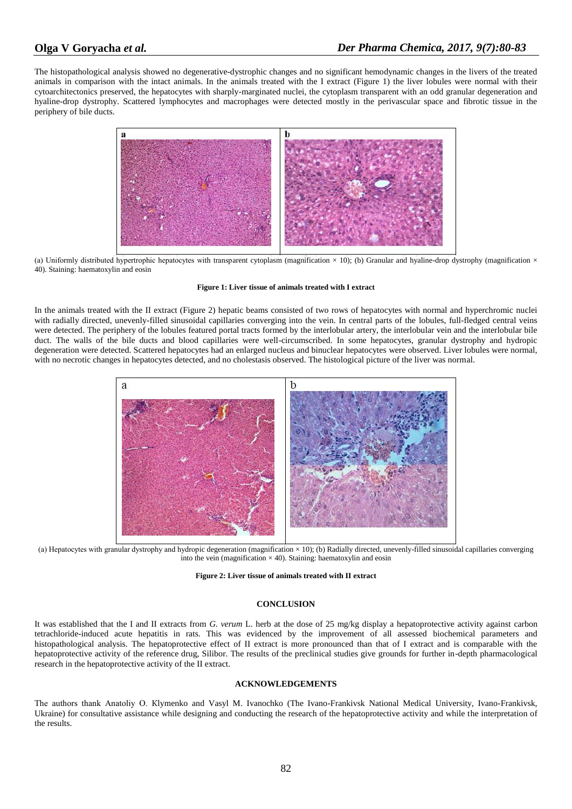The histopathological analysis showed no degenerative-dystrophic changes and no significant hemodynamic changes in the livers of the treated animals in comparison with the intact animals. In the animals treated with the I extract (Figure 1) the liver lobules were normal with their cytoarchitectonics preserved, the hepatocytes with sharply-marginated nuclei, the cytoplasm transparent with an odd granular degeneration and hyaline-drop dystrophy. Scattered lymphocytes and macrophages were detected mostly in the perivascular space and fibrotic tissue in the periphery of bile ducts.



(a) Uniformly distributed hypertrophic hepatocytes with transparent cytoplasm (magnification  $\times$  10); (b) Granular and hyaline-drop dystrophy (magnification  $\times$ 40). Staining: haematoxylin and eosin

#### **Figure 1: Liver tissue of animals treated with I extract**

In the animals treated with the II extract (Figure 2) hepatic beams consisted of two rows of hepatocytes with normal and hyperchromic nuclei with radially directed, unevenly-filled sinusoidal capillaries converging into the vein. In central parts of the lobules, full-fledged central veins were detected. The periphery of the lobules featured portal tracts formed by the interlobular artery, the interlobular vein and the interlobular bile duct. The walls of the bile ducts and blood capillaries were well-circumscribed. In some hepatocytes, granular dystrophy and hydropic degeneration were detected. Scattered hepatocytes had an enlarged nucleus and binuclear hepatocytes were observed. Liver lobules were normal, with no necrotic changes in hepatocytes detected, and no cholestasis observed. The histological picture of the liver was normal.



(а) Hepatocytes with granular dystrophy and hydropic degeneration (magnification × 10); (b) Radially directed, unevenly-filled sinusoidal capillaries converging into the vein (magnification  $\times$  40). Staining: haematoxylin and eosin

#### **Figure 2: Liver tissue of animals treated with II extract**

## **CONCLUSION**

It was established that the I and II extracts from *G. verum* L. herb at the dose of 25 mg/kg display a hepatoprotective activity against carbon tetrachloride-induced acute hepatitis in rats. This was evidenced by the improvement of all assessed biochemical parameters and histopathological analysis. The hepatoprotective effect of II extract is more pronounced than that of I extract and is comparable with the hepatoprotective activity of the reference drug, Silibor. The results of the preclinical studies give grounds for further in-depth pharmacological research in the hepatoprotective activity of the II extract.

#### **ACKNOWLEDGEMENTS**

The authors thank Anatoliy O. Кlymenko and Vasyl M. Ivanochko (The Ivano-Frankivsk National Medical University, Ivano-Frankivsk, Ukraine) for consultative assistance while designing and conducting the research of the hepatoprotective activity and while the interpretation of the results.